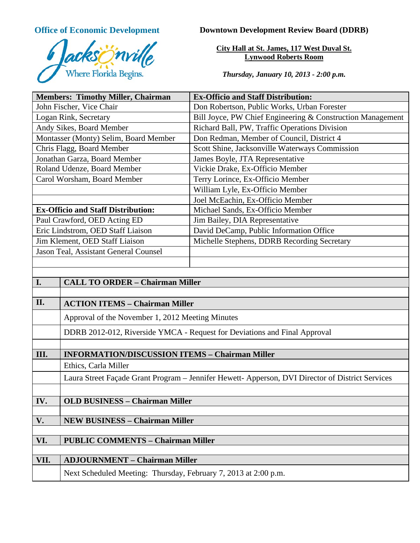

**Office of Economic Development Downtown Development Review Board (DDRB)** 

**City Hall at St. James, 117 West Duval St. Lynwood Roberts Room**

*Thursday, January 10, 2013 - 2:00 p.m.*

| <b>Members: Timothy Miller, Chairman</b>        |                                                                                                  | <b>Ex-Officio and Staff Distribution:</b>                  |
|-------------------------------------------------|--------------------------------------------------------------------------------------------------|------------------------------------------------------------|
| John Fischer, Vice Chair                        |                                                                                                  | Don Robertson, Public Works, Urban Forester                |
| Logan Rink, Secretary                           |                                                                                                  | Bill Joyce, PW Chief Engineering & Construction Management |
| Andy Sikes, Board Member                        |                                                                                                  | Richard Ball, PW, Traffic Operations Division              |
| Montasser (Monty) Selim, Board Member           |                                                                                                  | Don Redman, Member of Council, District 4                  |
| Chris Flagg, Board Member                       |                                                                                                  | Scott Shine, Jacksonville Waterways Commission             |
| Jonathan Garza, Board Member                    |                                                                                                  | James Boyle, JTA Representative                            |
| Roland Udenze, Board Member                     |                                                                                                  | Vickie Drake, Ex-Officio Member                            |
| Carol Worsham, Board Member                     |                                                                                                  | Terry Lorince, Ex-Officio Member                           |
|                                                 |                                                                                                  | William Lyle, Ex-Officio Member                            |
|                                                 |                                                                                                  | Joel McEachin, Ex-Officio Member                           |
| <b>Ex-Officio and Staff Distribution:</b>       |                                                                                                  | Michael Sands, Ex-Officio Member                           |
| Paul Crawford, OED Acting ED                    |                                                                                                  | Jim Bailey, DIA Representative                             |
| Eric Lindstrom, OED Staff Liaison               |                                                                                                  | David DeCamp, Public Information Office                    |
| Jim Klement, OED Staff Liaison                  |                                                                                                  | Michelle Stephens, DDRB Recording Secretary                |
| Jason Teal, Assistant General Counsel           |                                                                                                  |                                                            |
|                                                 |                                                                                                  |                                                            |
|                                                 |                                                                                                  |                                                            |
| I.                                              | <b>CALL TO ORDER - Chairman Miller</b>                                                           |                                                            |
|                                                 |                                                                                                  |                                                            |
| II.                                             | <b>ACTION ITEMS - Chairman Miller</b>                                                            |                                                            |
|                                                 | Approval of the November 1, 2012 Meeting Minutes                                                 |                                                            |
|                                                 | DDRB 2012-012, Riverside YMCA - Request for Deviations and Final Approval                        |                                                            |
|                                                 |                                                                                                  |                                                            |
| III.                                            | <b>INFORMATION/DISCUSSION ITEMS - Chairman Miller</b>                                            |                                                            |
|                                                 | Ethics, Carla Miller                                                                             |                                                            |
|                                                 | Laura Street Façade Grant Program - Jennifer Hewett- Apperson, DVI Director of District Services |                                                            |
|                                                 |                                                                                                  |                                                            |
| IV.                                             | <b>OLD BUSINESS - Chairman Miller</b>                                                            |                                                            |
|                                                 |                                                                                                  |                                                            |
| V.                                              | <b>NEW BUSINESS - Chairman Miller</b>                                                            |                                                            |
|                                                 |                                                                                                  |                                                            |
| VI.<br><b>PUBLIC COMMENTS - Chairman Miller</b> |                                                                                                  |                                                            |
|                                                 |                                                                                                  |                                                            |
| VII.                                            | <b>ADJOURNMENT - Chairman Miller</b>                                                             |                                                            |
|                                                 | Next Scheduled Meeting: Thursday, February 7, 2013 at 2:00 p.m.                                  |                                                            |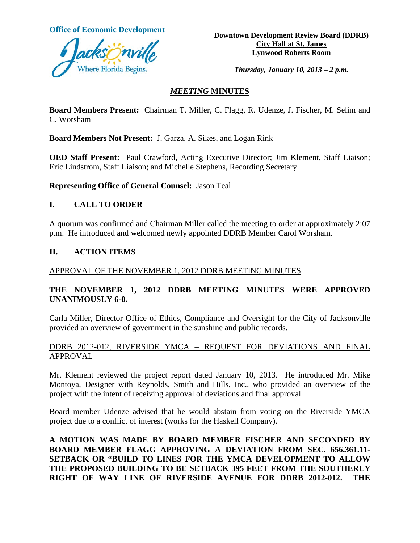

**Office of Economic Development**<br> **Downtown Development Review Board (DDRB) City Hall at St. James Lynwood Roberts Room**

*Thursday, January 10, 2013 – 2 p.m.*

## *MEETING* **MINUTES**

**Board Members Present:** Chairman T. Miller, C. Flagg, R. Udenze, J. Fischer, M. Selim and C. Worsham

**Board Members Not Present:** J. Garza, A. Sikes, and Logan Rink

**OED Staff Present:** Paul Crawford, Acting Executive Director; Jim Klement, Staff Liaison; Eric Lindstrom, Staff Liaison; and Michelle Stephens, Recording Secretary

**Representing Office of General Counsel:** Jason Teal

## **I. CALL TO ORDER**

A quorum was confirmed and Chairman Miller called the meeting to order at approximately 2:07 p.m. He introduced and welcomed newly appointed DDRB Member Carol Worsham.

#### **II. ACTION ITEMS**

#### APPROVAL OF THE NOVEMBER 1, 2012 DDRB MEETING MINUTES

# **THE NOVEMBER 1, 2012 DDRB MEETING MINUTES WERE APPROVED UNANIMOUSLY 6-0.**

Carla Miller, Director Office of Ethics, Compliance and Oversight for the City of Jacksonville provided an overview of government in the sunshine and public records.

### DDRB 2012-012, RIVERSIDE YMCA – REQUEST FOR DEVIATIONS AND FINAL APPROVAL

Mr. Klement reviewed the project report dated January 10, 2013. He introduced Mr. Mike Montoya, Designer with Reynolds, Smith and Hills, Inc., who provided an overview of the project with the intent of receiving approval of deviations and final approval.

Board member Udenze advised that he would abstain from voting on the Riverside YMCA project due to a conflict of interest (works for the Haskell Company).

**A MOTION WAS MADE BY BOARD MEMBER FISCHER AND SECONDED BY BOARD MEMBER FLAGG APPROVING A DEVIATION FROM SEC. 656.361.11- SETBACK OR "BUILD TO LINES FOR THE YMCA DEVELOPMENT TO ALLOW THE PROPOSED BUILDING TO BE SETBACK 395 FEET FROM THE SOUTHERLY RIGHT OF WAY LINE OF RIVERSIDE AVENUE FOR DDRB 2012-012. THE**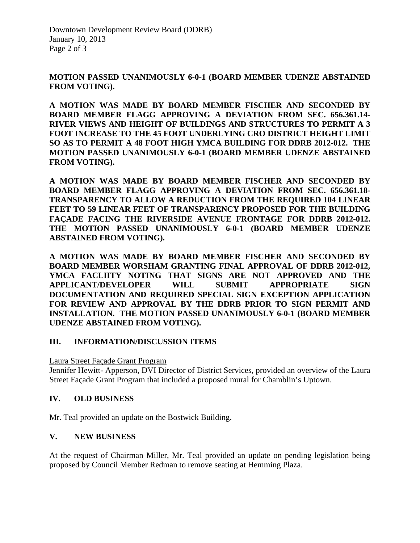Downtown Development Review Board (DDRB) January 10, 2013 Page 2 of 3

## **MOTION PASSED UNANIMOUSLY 6-0-1 (BOARD MEMBER UDENZE ABSTAINED FROM VOTING).**

**A MOTION WAS MADE BY BOARD MEMBER FISCHER AND SECONDED BY BOARD MEMBER FLAGG APPROVING A DEVIATION FROM SEC. 656.361.14- RIVER VIEWS AND HEIGHT OF BUILDINGS AND STRUCTURES TO PERMIT A 3 FOOT INCREASE TO THE 45 FOOT UNDERLYING CRO DISTRICT HEIGHT LIMIT SO AS TO PERMIT A 48 FOOT HIGH YMCA BUILDING FOR DDRB 2012-012. THE MOTION PASSED UNANIMOUSLY 6-0-1 (BOARD MEMBER UDENZE ABSTAINED FROM VOTING).** 

**A MOTION WAS MADE BY BOARD MEMBER FISCHER AND SECONDED BY BOARD MEMBER FLAGG APPROVING A DEVIATION FROM SEC. 656.361.18- TRANSPARENCY TO ALLOW A REDUCTION FROM THE REQUIRED 104 LINEAR FEET TO 59 LINEAR FEET OF TRANSPARENCY PROPOSED FOR THE BUILDING FAÇADE FACING THE RIVERSIDE AVENUE FRONTAGE FOR DDRB 2012-012. THE MOTION PASSED UNANIMOUSLY 6-0-1 (BOARD MEMBER UDENZE ABSTAINED FROM VOTING).** 

**A MOTION WAS MADE BY BOARD MEMBER FISCHER AND SECONDED BY BOARD MEMBER WORSHAM GRANTING FINAL APPROVAL OF DDRB 2012-012, YMCA FACLIITY NOTING THAT SIGNS ARE NOT APPROVED AND THE APPLICANT/DEVELOPER WILL SUBMIT APPROPRIATE SIGN DOCUMENTATION AND REQUIRED SPECIAL SIGN EXCEPTION APPLICATION FOR REVIEW AND APPROVAL BY THE DDRB PRIOR TO SIGN PERMIT AND INSTALLATION. THE MOTION PASSED UNANIMOUSLY 6-0-1 (BOARD MEMBER UDENZE ABSTAINED FROM VOTING).** 

#### **III. INFORMATION/DISCUSSION ITEMS**

Laura Street Façade Grant Program

Jennifer Hewitt- Apperson, DVI Director of District Services, provided an overview of the Laura Street Façade Grant Program that included a proposed mural for Chamblin's Uptown.

### **IV. OLD BUSINESS**

Mr. Teal provided an update on the Bostwick Building.

#### **V. NEW BUSINESS**

At the request of Chairman Miller, Mr. Teal provided an update on pending legislation being proposed by Council Member Redman to remove seating at Hemming Plaza.